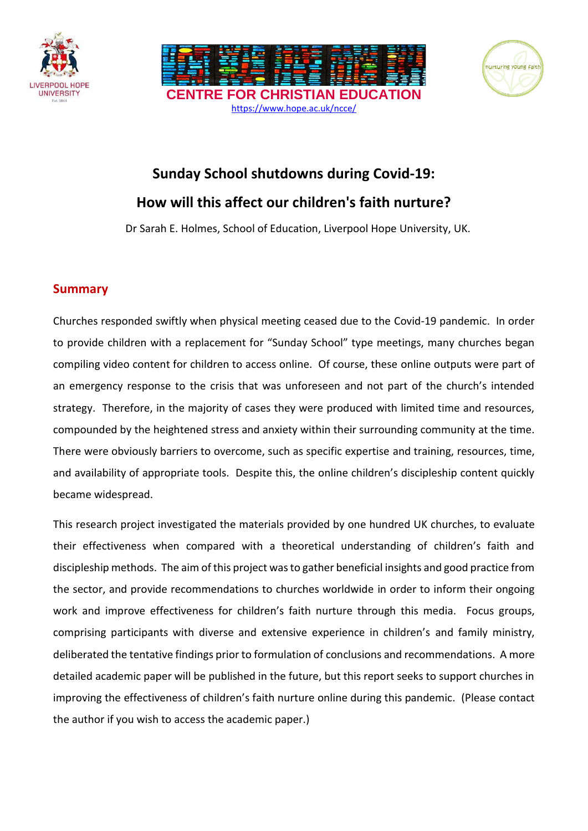





### **Sunday School shutdowns during Covid-19: How will this affect our children's faith nurture?**

Dr Sarah E. Holmes, School of Education, Liverpool Hope University, UK.

### **Summary**

Churches responded swiftly when physical meeting ceased due to the Covid-19 pandemic. In order to provide children with a replacement for "Sunday School" type meetings, many churches began compiling video content for children to access online. Of course, these online outputs were part of an emergency response to the crisis that was unforeseen and not part of the church's intended strategy. Therefore, in the majority of cases they were produced with limited time and resources, compounded by the heightened stress and anxiety within their surrounding community at the time. There were obviously barriers to overcome, such as specific expertise and training, resources, time, and availability of appropriate tools. Despite this, the online children's discipleship content quickly became widespread.

This research project investigated the materials provided by one hundred UK churches, to evaluate their effectiveness when compared with a theoretical understanding of children's faith and discipleship methods. The aim of this project was to gather beneficial insights and good practice from the sector, and provide recommendations to churches worldwide in order to inform their ongoing work and improve effectiveness for children's faith nurture through this media. Focus groups, comprising participants with diverse and extensive experience in children's and family ministry, deliberated the tentative findings prior to formulation of conclusions and recommendations. A more detailed academic paper will be published in the future, but this report seeks to support churches in improving the effectiveness of children's faith nurture online during this pandemic. (Please contact the author if you wish to access the academic paper.)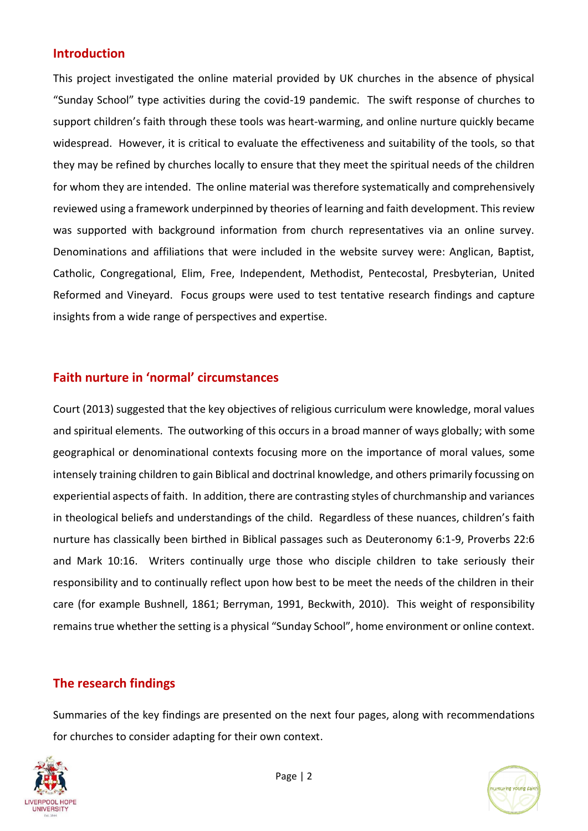#### **Introduction**

This project investigated the online material provided by UK churches in the absence of physical "Sunday School" type activities during the covid-19 pandemic. The swift response of churches to support children's faith through these tools was heart-warming, and online nurture quickly became widespread. However, it is critical to evaluate the effectiveness and suitability of the tools, so that they may be refined by churches locally to ensure that they meet the spiritual needs of the children for whom they are intended. The online material was therefore systematically and comprehensively reviewed using a framework underpinned by theories of learning and faith development. This review was supported with background information from church representatives via an online survey. Denominations and affiliations that were included in the website survey were: Anglican, Baptist, Catholic, Congregational, Elim, Free, Independent, Methodist, Pentecostal, Presbyterian, United Reformed and Vineyard. Focus groups were used to test tentative research findings and capture insights from a wide range of perspectives and expertise.

### **Faith nurture in 'normal' circumstances**

Court (2013) suggested that the key objectives of religious curriculum were knowledge, moral values and spiritual elements. The outworking of this occurs in a broad manner of ways globally; with some geographical or denominational contexts focusing more on the importance of moral values, some intensely training children to gain Biblical and doctrinal knowledge, and others primarily focussing on experiential aspects of faith. In addition, there are contrasting styles of churchmanship and variances in theological beliefs and understandings of the child. Regardless of these nuances, children's faith nurture has classically been birthed in Biblical passages such as Deuteronomy 6:1-9, Proverbs 22:6 and Mark 10:16. Writers continually urge those who disciple children to take seriously their responsibility and to continually reflect upon how best to be meet the needs of the children in their care (for example Bushnell, 1861; Berryman, 1991, Beckwith, 2010). This weight of responsibility remains true whether the setting is a physical "Sunday School", home environment or online context.

#### **The research findings**

Summaries of the key findings are presented on the next four pages, along with recommendations for churches to consider adapting for their own context.

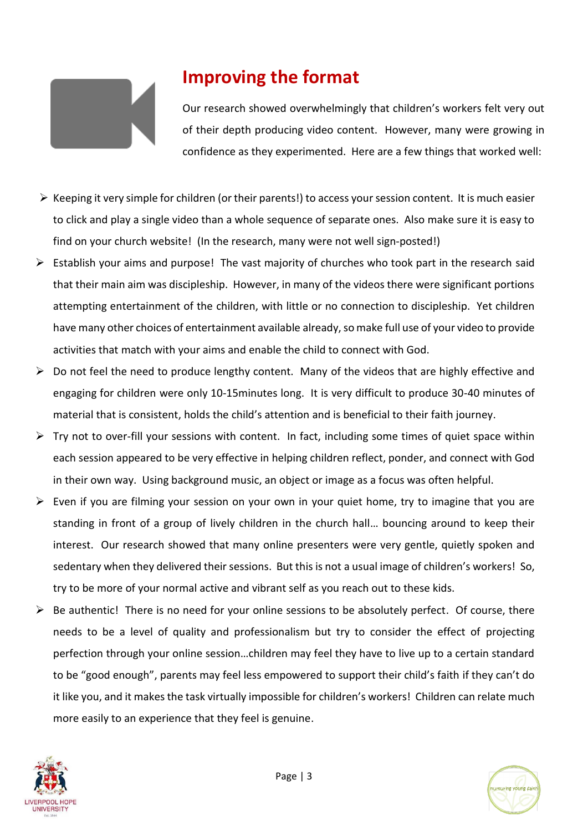

## **Improving the format**

Our research showed overwhelmingly that children's workers felt very out of their depth producing video content. However, many were growing in confidence as they experimented. Here are a few things that worked well:

- $\triangleright$  Keeping it very simple for children (or their parents!) to access your session content. It is much easier to click and play a single video than a whole sequence of separate ones. Also make sure it is easy to find on your church website! (In the research, many were not well sign-posted!)
- $\triangleright$  Establish your aims and purpose! The vast majority of churches who took part in the research said that their main aim was discipleship. However, in many of the videos there were significant portions attempting entertainment of the children, with little or no connection to discipleship. Yet children have many other choices of entertainment available already, so make full use of your video to provide activities that match with your aims and enable the child to connect with God.
- $\triangleright$  Do not feel the need to produce lengthy content. Many of the videos that are highly effective and engaging for children were only 10-15minutes long. It is very difficult to produce 30-40 minutes of material that is consistent, holds the child's attention and is beneficial to their faith journey.
- ➢ Try not to over-fill your sessions with content. In fact, including some times of quiet space within each session appeared to be very effective in helping children reflect, ponder, and connect with God in their own way. Using background music, an object or image as a focus was often helpful.
- $\triangleright$  Even if you are filming your session on your own in your quiet home, try to imagine that you are standing in front of a group of lively children in the church hall… bouncing around to keep their interest. Our research showed that many online presenters were very gentle, quietly spoken and sedentary when they delivered their sessions. But this is not a usual image of children's workers! So, try to be more of your normal active and vibrant self as you reach out to these kids.
- $\triangleright$  Be authentic! There is no need for your online sessions to be absolutely perfect. Of course, there needs to be a level of quality and professionalism but try to consider the effect of projecting perfection through your online session…children may feel they have to live up to a certain standard to be "good enough", parents may feel less empowered to support their child's faith if they can't do it like you, and it makes the task virtually impossible for children's workers! Children can relate much more easily to an experience that they feel is genuine.

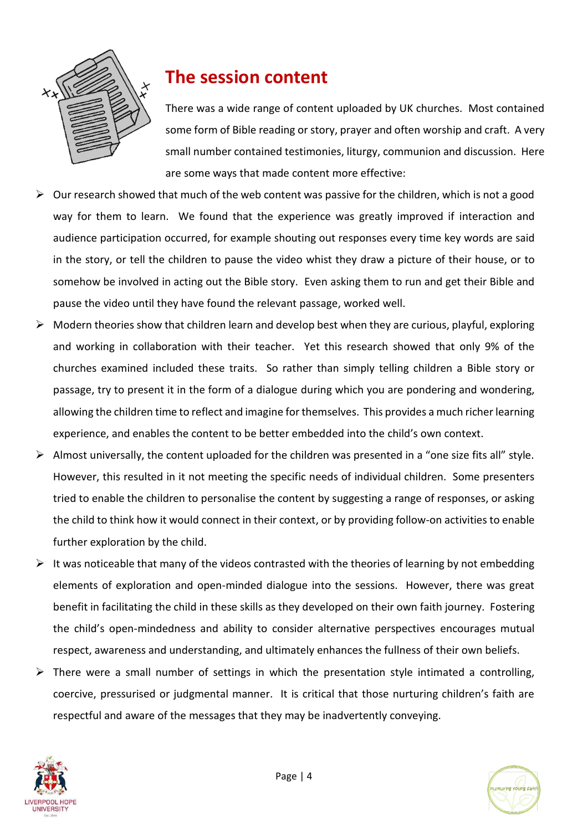

### **The session content**

There was a wide range of content uploaded by UK churches. Most contained some form of Bible reading or story, prayer and often worship and craft. A very small number contained testimonies, liturgy, communion and discussion. Here are some ways that made content more effective:

- $\triangleright$  Our research showed that much of the web content was passive for the children, which is not a good way for them to learn. We found that the experience was greatly improved if interaction and audience participation occurred, for example shouting out responses every time key words are said in the story, or tell the children to pause the video whist they draw a picture of their house, or to somehow be involved in acting out the Bible story. Even asking them to run and get their Bible and pause the video until they have found the relevant passage, worked well.
- $\triangleright$  Modern theories show that children learn and develop best when they are curious, playful, exploring and working in collaboration with their teacher. Yet this research showed that only 9% of the churches examined included these traits. So rather than simply telling children a Bible story or passage, try to present it in the form of a dialogue during which you are pondering and wondering, allowing the children time to reflect and imagine for themselves. This provides a much richer learning experience, and enables the content to be better embedded into the child's own context.
- $\triangleright$  Almost universally, the content uploaded for the children was presented in a "one size fits all" style. However, this resulted in it not meeting the specific needs of individual children. Some presenters tried to enable the children to personalise the content by suggesting a range of responses, or asking the child to think how it would connect in their context, or by providing follow-on activities to enable further exploration by the child.
- $\triangleright$  It was noticeable that many of the videos contrasted with the theories of learning by not embedding elements of exploration and open-minded dialogue into the sessions. However, there was great benefit in facilitating the child in these skills as they developed on their own faith journey. Fostering the child's open-mindedness and ability to consider alternative perspectives encourages mutual respect, awareness and understanding, and ultimately enhances the fullness of their own beliefs.
- $\triangleright$  There were a small number of settings in which the presentation style intimated a controlling, coercive, pressurised or judgmental manner. It is critical that those nurturing children's faith are respectful and aware of the messages that they may be inadvertently conveying.

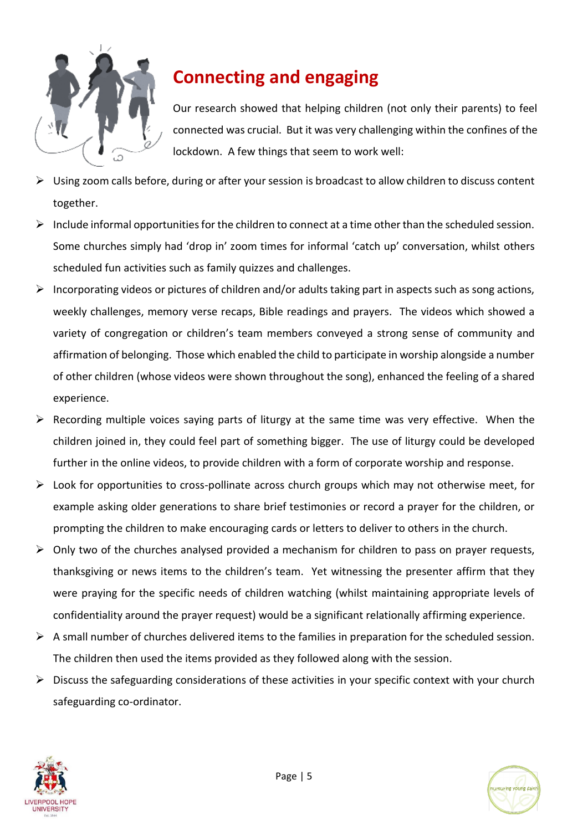

# **Connecting and engaging**

Our research showed that helping children (not only their parents) to feel connected was crucial. But it was very challenging within the confines of the lockdown. A few things that seem to work well:

- ➢ Using zoom calls before, during or after your session is broadcast to allow children to discuss content together.
- $\triangleright$  Include informal opportunities for the children to connect at a time other than the scheduled session. Some churches simply had 'drop in' zoom times for informal 'catch up' conversation, whilst others scheduled fun activities such as family quizzes and challenges.
- $\triangleright$  Incorporating videos or pictures of children and/or adults taking part in aspects such as song actions, weekly challenges, memory verse recaps, Bible readings and prayers. The videos which showed a variety of congregation or children's team members conveyed a strong sense of community and affirmation of belonging. Those which enabled the child to participate in worship alongside a number of other children (whose videos were shown throughout the song), enhanced the feeling of a shared experience.
- $\triangleright$  Recording multiple voices saying parts of liturgy at the same time was very effective. When the children joined in, they could feel part of something bigger. The use of liturgy could be developed further in the online videos, to provide children with a form of corporate worship and response.
- $\triangleright$  Look for opportunities to cross-pollinate across church groups which may not otherwise meet, for example asking older generations to share brief testimonies or record a prayer for the children, or prompting the children to make encouraging cards or letters to deliver to others in the church.
- $\triangleright$  Only two of the churches analysed provided a mechanism for children to pass on prayer requests, thanksgiving or news items to the children's team. Yet witnessing the presenter affirm that they were praying for the specific needs of children watching (whilst maintaining appropriate levels of confidentiality around the prayer request) would be a significant relationally affirming experience.
- $\triangleright$  A small number of churches delivered items to the families in preparation for the scheduled session. The children then used the items provided as they followed along with the session.
- $\triangleright$  Discuss the safeguarding considerations of these activities in your specific context with your church safeguarding co-ordinator.



**urturing young fait**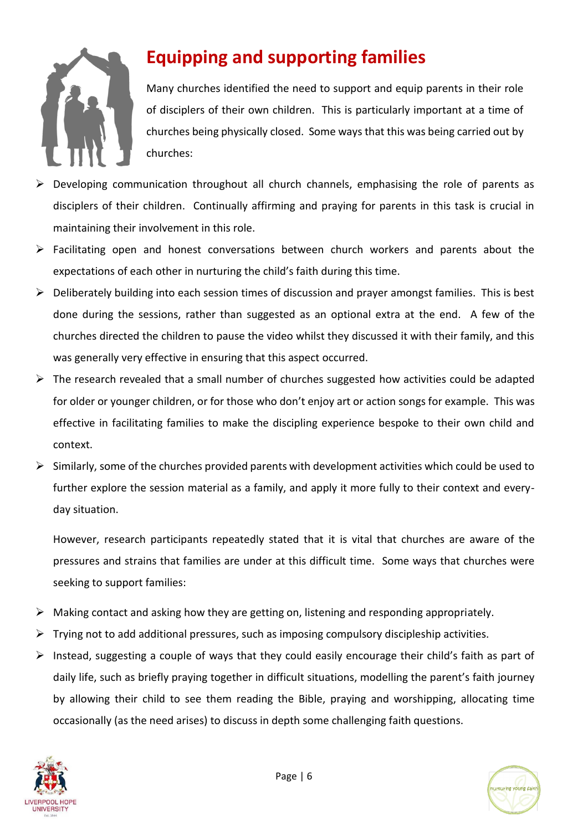

# **Equipping and supporting families**

Many churches identified the need to support and equip parents in their role of disciplers of their own children. This is particularly important at a time of churches being physically closed. Some ways that this was being carried out by churches:

- $\triangleright$  Developing communication throughout all church channels, emphasising the role of parents as disciplers of their children. Continually affirming and praying for parents in this task is crucial in maintaining their involvement in this role.
- ➢ Facilitating open and honest conversations between church workers and parents about the expectations of each other in nurturing the child's faith during this time.
- ➢ Deliberately building into each session times of discussion and prayer amongst families. This is best done during the sessions, rather than suggested as an optional extra at the end. A few of the churches directed the children to pause the video whilst they discussed it with their family, and this was generally very effective in ensuring that this aspect occurred.
- $\triangleright$  The research revealed that a small number of churches suggested how activities could be adapted for older or younger children, or for those who don't enjoy art or action songs for example. This was effective in facilitating families to make the discipling experience bespoke to their own child and context.
- ➢ Similarly, some of the churches provided parents with development activities which could be used to further explore the session material as a family, and apply it more fully to their context and everyday situation.

However, research participants repeatedly stated that it is vital that churches are aware of the pressures and strains that families are under at this difficult time. Some ways that churches were seeking to support families:

- ➢ Making contact and asking how they are getting on, listening and responding appropriately.
- ➢ Trying not to add additional pressures, such as imposing compulsory discipleship activities.
- $\triangleright$  Instead, suggesting a couple of ways that they could easily encourage their child's faith as part of daily life, such as briefly praying together in difficult situations, modelling the parent's faith journey by allowing their child to see them reading the Bible, praying and worshipping, allocating time occasionally (as the need arises) to discuss in depth some challenging faith questions.



**urturing young fait**